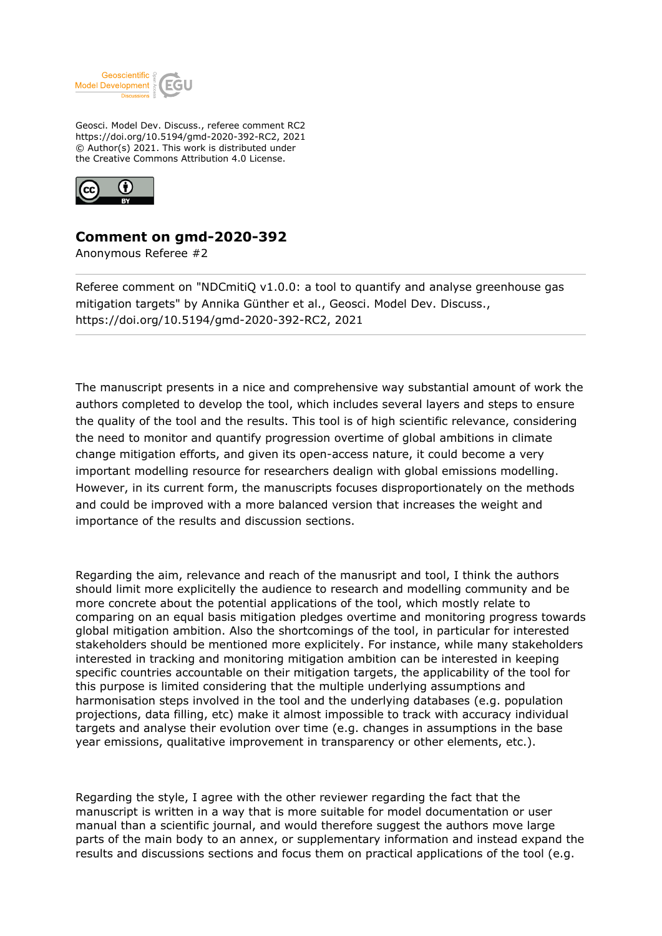

Geosci. Model Dev. Discuss., referee comment RC2 https://doi.org/10.5194/gmd-2020-392-RC2, 2021 © Author(s) 2021. This work is distributed under the Creative Commons Attribution 4.0 License.



## **Comment on gmd-2020-392**

Anonymous Referee #2

Referee comment on "NDCmitiQ v1.0.0: a tool to quantify and analyse greenhouse gas mitigation targets" by Annika Günther et al., Geosci. Model Dev. Discuss., https://doi.org/10.5194/gmd-2020-392-RC2, 2021

The manuscript presents in a nice and comprehensive way substantial amount of work the authors completed to develop the tool, which includes several layers and steps to ensure the quality of the tool and the results. This tool is of high scientific relevance, considering the need to monitor and quantify progression overtime of global ambitions in climate change mitigation efforts, and given its open-access nature, it could become a very important modelling resource for researchers dealign with global emissions modelling. However, in its current form, the manuscripts focuses disproportionately on the methods and could be improved with a more balanced version that increases the weight and importance of the results and discussion sections.

Regarding the aim, relevance and reach of the manusript and tool, I think the authors should limit more explicitelly the audience to research and modelling community and be more concrete about the potential applications of the tool, which mostly relate to comparing on an equal basis mitigation pledges overtime and monitoring progress towards global mitigation ambition. Also the shortcomings of the tool, in particular for interested stakeholders should be mentioned more explicitely. For instance, while many stakeholders interested in tracking and monitoring mitigation ambition can be interested in keeping specific countries accountable on their mitigation targets, the applicability of the tool for this purpose is limited considering that the multiple underlying assumptions and harmonisation steps involved in the tool and the underlying databases (e.g. population projections, data filling, etc) make it almost impossible to track with accuracy individual targets and analyse their evolution over time (e.g. changes in assumptions in the base year emissions, qualitative improvement in transparency or other elements, etc.).

Regarding the style, I agree with the other reviewer regarding the fact that the manuscript is written in a way that is more suitable for model documentation or user manual than a scientific journal, and would therefore suggest the authors move large parts of the main body to an annex, or supplementary information and instead expand the results and discussions sections and focus them on practical applications of the tool (e.g.